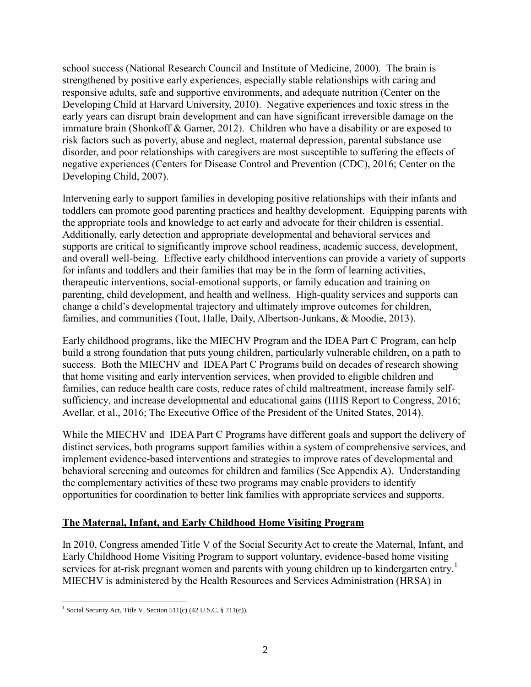school success (National Research Council and Institute of Medicine, 2000). The brain is strengthened by positive early experiences, especially stable relationships with caring and responsive adults, safe and supportive environments, and adequate nutrition (Center on the Developing Child at Harvard University, 2010). Negative experiences and toxic stress in the early years can disrupt brain development and can have significant irreversible damage on the immature brain (Shonkoff & Garner, 2012). Children who have a disability or are exposed to risk factors such as poverty, abuse and neglect, maternal depression, parental substance use disorder, and poor relationships with caregivers are most susceptible to suffering the effects of negative experiences (Centers for Disease Control and Prevention (CDC), 2016; Center on the Developing Child, 2007).

Intervening early to support families in developing positive relationships with their infants and toddlers can promote good parenting practices and healthy development. Equipping parents with the appropriate tools and knowledge to act early and advocate for their children is essential. Additionally, early detection and appropriate developmental and behavioral services and supports are critical to significantly improve school readiness, academic success, development, and overall well-being. Effective early childhood interventions can provide a variety of supports for infants and toddlers and their families that may be in the form of learning activities, therapeutic interventions, social-emotional supports, or family education and training on parenting, child development, and health and wellness. High-quality services and supports can change a child's developmental trajectory and ultimately improve outcomes for children, families, and communities (Tout, Halle, Daily, Albertson-Junkans, & Moodie, 2013).

Early childhood programs, like the MIECHV Program and the IDEA Part C Program, can help build a strong foundation that puts young children, particularly vulnerable children, on a path to success. Both the MIECHV and IDEA Part C Programs build on decades of research showing that home visiting and early intervention services, when provided to eligible children and families, can reduce health care costs, reduce rates of child maltreatment, increase family selfsufficiency, and increase developmental and educational gains (HHS Report to Congress, 2016; Avellar, et al., 2016; The Executive Office of the President of the United States, 2014).

While the MIECHV and IDEA Part C Programs have different goals and support the delivery of distinct services, both programs support families within a system of comprehensive services, and implement evidence-based interventions and strategies to improve rates of developmental and behavioral screening and outcomes for children and families (See Appendix A). Understanding the complementary activities of these two programs may enable providers to identify opportunities for coordination to better link families with appropriate services and supports.

## **The Maternal, Infant, and Early Childhood Home Visiting Program**

In 2010, Congress amended Title V of the Social Security Act to create the Maternal, Infant, and Early Childhood Home Visiting Program to support voluntary, evidence-based home visiting services for at-risk pregnant women and parents with young children up to kindergarten entry.<sup>1</sup> MIECHV is administered by the Health Resources and Services Administration (HRSA) in

 $\overline{a}$ <sup>1</sup> Social Security Act, Title V, Section 511(c) (42 U.S.C. § 711(c)).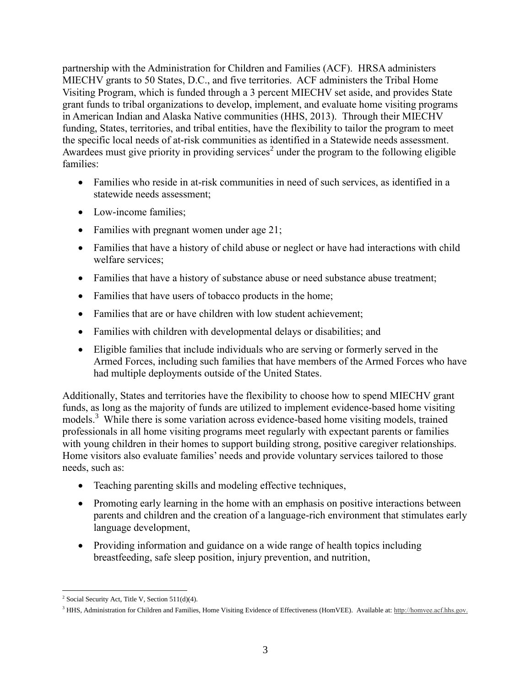partnership with the Administration for Children and Families (ACF). HRSA administers MIECHV grants to 50 States, D.C., and five territories. ACF administers the Tribal Home Visiting Program, which is funded through a 3 percent MIECHV set aside, and provides State grant funds to tribal organizations to develop, implement, and evaluate home visiting programs in American Indian and Alaska Native communities (HHS, 2013). Through their MIECHV funding, States, territories, and tribal entities, have the flexibility to tailor the program to meet the specific local needs of at-risk communities as identified in a Statewide needs assessment. Awardees must give priority in providing services<sup>2</sup> under the program to the following eligible families:

- Families who reside in at-risk communities in need of such services, as identified in a statewide needs assessment;
- Low-income families:
- Families with pregnant women under age 21;
- Families that have a history of child abuse or neglect or have had interactions with child welfare services;
- Families that have a history of substance abuse or need substance abuse treatment;
- Families that have users of tobacco products in the home;
- Families that are or have children with low student achievement;
- Families with children with developmental delays or disabilities; and
- Eligible families that include individuals who are serving or formerly served in the Armed Forces, including such families that have members of the Armed Forces who have had multiple deployments outside of the United States.

Additionally, States and territories have the flexibility to choose how to spend MIECHV grant funds, as long as the majority of funds are utilized to implement evidence-based home visiting models. <sup>3</sup> While there is some variation across evidence-based home visiting models, trained professionals in all home visiting programs meet regularly with expectant parents or families with young children in their homes to support building strong, positive caregiver relationships. Home visitors also evaluate families' needs and provide voluntary services tailored to those needs, such as:

- Teaching parenting skills and modeling effective techniques,
- Promoting early learning in the home with an emphasis on positive interactions between parents and children and the creation of a language-rich environment that stimulates early language development,
- Providing information and guidance on a wide range of health topics including breastfeeding, safe sleep position, injury prevention, and nutrition,

 $\overline{a}$ <sup>2</sup> Social Security Act, Title V, Section  $511(d)(4)$ .

<sup>&</sup>lt;sup>3</sup> HHS, Administration for Children and Families, Home Visiting Evidence of Effectiveness (HomVEE). Available at: http://homvee.acf.hhs.gov.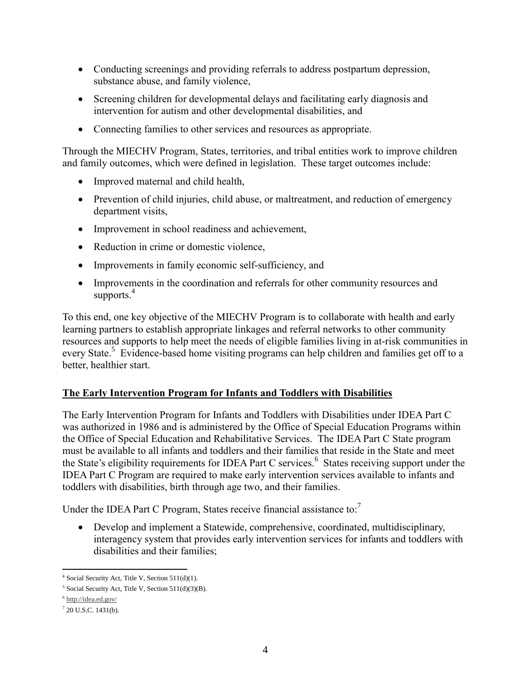- Conducting screenings and providing referrals to address postpartum depression, substance abuse, and family violence,
- Screening children for developmental delays and facilitating early diagnosis and intervention for autism and other developmental disabilities, and
- Connecting families to other services and resources as appropriate.

Through the MIECHV Program, States, territories, and tribal entities work to improve children and family outcomes, which were defined in legislation. These target outcomes include:

- Improved maternal and child health,
- Prevention of child injuries, child abuse, or maltreatment, and reduction of emergency department visits,
- Improvement in school readiness and achievement,
- Reduction in crime or domestic violence,
- Improvements in family economic self-sufficiency, and
- Improvements in the coordination and referrals for other community resources and supports. $4$

To this end, one key objective of the MIECHV Program is to collaborate with health and early learning partners to establish appropriate linkages and referral networks to other community resources and supports to help meet the needs of eligible families living in at-risk communities in every State.<sup>5</sup> Evidence-based home visiting programs can help children and families get off to a better, healthier start.

## **The Early Intervention Program for Infants and Toddlers with Disabilities**

The Early Intervention Program for Infants and Toddlers with Disabilities under IDEA Part C was authorized in 1986 and is administered by the Office of Special Education Programs within the Office of Special Education and Rehabilitative Services. The IDEA Part C State program must be available to all infants and toddlers and their families that reside in the State and meet the State's eligibility requirements for IDEA Part C services.<sup>6</sup> States receiving support under the IDEA Part C Program are required to make early intervention services available to infants and toddlers with disabilities, birth through age two, and their families.

Under the IDEA Part C Program, States receive financial assistance to: $<sup>7</sup>$ </sup>

 Develop and implement a Statewide, comprehensive, coordinated, multidisciplinary, interagency system that provides early intervention services for infants and toddlers with disabilities and their families;

 4 Social Security Act, Title V, Section 511(d)(1).

<sup>&</sup>lt;sup>5</sup> Social Security Act, Title V, Section 511(d)(3)(B).

<sup>&</sup>lt;sup>6</sup> <http://idea.ed.gov/>

 $720$  U.S.C. 1431(b).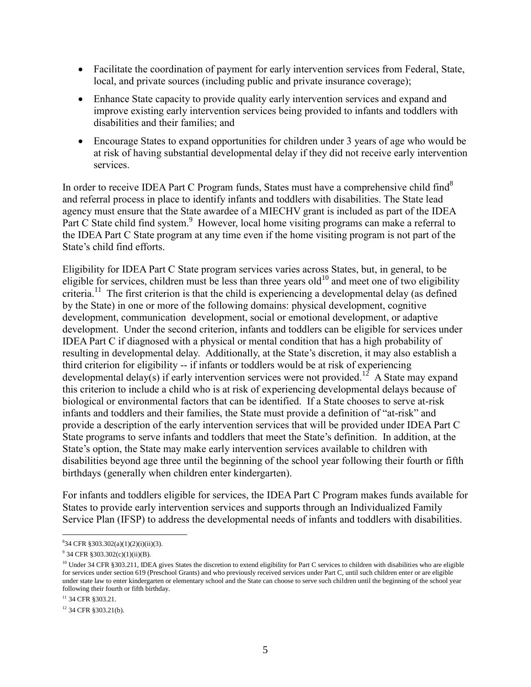- Facilitate the coordination of payment for early intervention services from Federal, State, local, and private sources (including public and private insurance coverage);
- Enhance State capacity to provide quality early intervention services and expand and improve existing early intervention services being provided to infants and toddlers with disabilities and their families; and
- Encourage States to expand opportunities for children under 3 years of age who would be at risk of having substantial developmental delay if they did not receive early intervention services.

In order to receive IDEA Part C Program funds, States must have a comprehensive child find<sup>8</sup> and referral process in place to identify infants and toddlers with disabilities. The State lead agency must ensure that the State awardee of a MIECHV grant is included as part of the IDEA Part C State child find system. $9$  However, local home visiting programs can make a referral to the IDEA Part C State program at any time even if the home visiting program is not part of the State's child find efforts.

Eligibility for IDEA Part C State program services varies across States, but, in general, to be eligible for services, children must be less than three years old $^{10}$  and meet one of two eligibility criteria.<sup>11</sup> The first criterion is that the child is experiencing a developmental delay (as defined by the State) in one or more of the following domains: physical development, cognitive development, communication development, social or emotional development, or adaptive development. Under the second criterion, infants and toddlers can be eligible for services under IDEA Part C if diagnosed with a physical or mental condition that has a high probability of resulting in developmental delay. Additionally, at the State's discretion, it may also establish a third criterion for eligibility -- if infants or toddlers would be at risk of experiencing developmental delay(s) if early intervention services were not provided.<sup>12</sup> A State may expand this criterion to include a child who is at risk of experiencing developmental delays because of biological or environmental factors that can be identified. If a State chooses to serve at-risk infants and toddlers and their families, the State must provide a definition of "at-risk" and provide a description of the early intervention services that will be provided under IDEA Part C State programs to serve infants and toddlers that meet the State's definition. In addition, at the State's option, the State may make early intervention services available to children with disabilities beyond age three until the beginning of the school year following their fourth or fifth birthdays (generally when children enter kindergarten).

For infants and toddlers eligible for services, the IDEA Part C Program makes funds available for States to provide early intervention services and supports through an Individualized Family Service Plan (IFSP) to address the developmental needs of infants and toddlers with disabilities.

 8 34 CFR §303.302(a)(1)(2)(i)(ii)(3).

 $9^9$  34 CFR §303.302(c)(1)(ii)(B).

<sup>&</sup>lt;sup>10</sup> Under 34 CFR §303.211, IDEA gives States the discretion to extend eligibility for Part C services to children with disabilities who are eligible for services under section 619 (Preschool Grants) and who previously received services under Part C, until such children enter or are eligible under state law to enter kindergarten or elementary school and the State can choose to serve such children until the beginning of the school year following their fourth or fifth birthday.

<sup>&</sup>lt;sup>11</sup> 34 CFR §303.21.

<sup>12</sup> 34 CFR §303.21(b).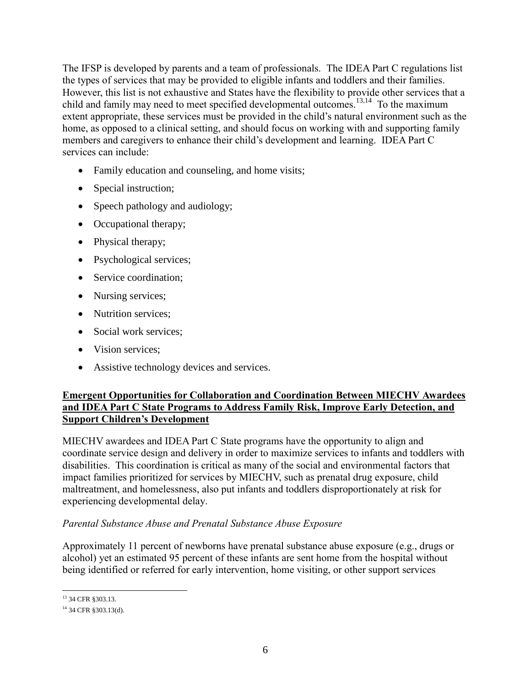The IFSP is developed by parents and a team of professionals. The IDEA Part C regulations list the types of services that may be provided to eligible infants and toddlers and their families. However, this list is not exhaustive and States have the flexibility to provide other services that a child and family may need to meet specified developmental outcomes.<sup>13,14</sup> To the maximum extent appropriate, these services must be provided in the child's natural environment such as the home, as opposed to a clinical setting, and should focus on working with and supporting family members and caregivers to enhance their child's development and learning. IDEA Part C services can include:

- Family education and counseling, and home visits;
- Special instruction;
- Speech pathology and audiology;
- Occupational therapy;
- Physical therapy;
- Psychological services;
- Service coordination:
- Nursing services;
- Nutrition services:
- Social work services:
- Vision services:
- Assistive technology devices and services.

## **Emergent Opportunities for Collaboration and Coordination Between MIECHV Awardees and IDEA Part C State Programs to Address Family Risk, Improve Early Detection, and Support Children's Development**

MIECHV awardees and IDEA Part C State programs have the opportunity to align and coordinate service design and delivery in order to maximize services to infants and toddlers with disabilities. This coordination is critical as many of the social and environmental factors that impact families prioritized for services by MIECHV, such as prenatal drug exposure, child maltreatment, and homelessness, also put infants and toddlers disproportionately at risk for experiencing developmental delay.

## *Parental Substance Abuse and Prenatal Substance Abuse Exposure*

Approximately 11 percent of newborns have prenatal substance abuse exposure (e.g., drugs or alcohol) yet an estimated 95 percent of these infants are sent home from the hospital without being identified or referred for early intervention, home visiting, or other support services

 $\overline{a}$ 13 34 CFR §303.13.

<sup>14</sup> 34 CFR §303.13(d).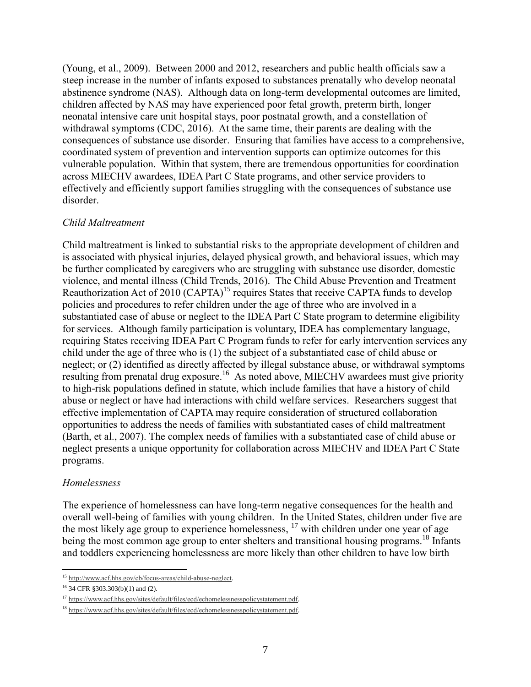(Young, et al., 2009). Between 2000 and 2012, researchers and public health officials saw a steep increase in the number of infants exposed to substances prenatally who develop neonatal abstinence syndrome (NAS). Although data on long-term developmental outcomes are limited, children affected by NAS may have experienced poor fetal growth, preterm birth, longer neonatal intensive care unit hospital stays, poor postnatal growth, and a constellation of withdrawal symptoms (CDC, 2016). At the same time, their parents are dealing with the consequences of substance use disorder. Ensuring that families have access to a comprehensive, coordinated system of prevention and intervention supports can optimize outcomes for this vulnerable population. Within that system, there are tremendous opportunities for coordination across MIECHV awardees, IDEA Part C State programs, and other service providers to effectively and efficiently support families struggling with the consequences of substance use disorder.

#### *Child Maltreatment*

Child maltreatment is linked to substantial risks to the appropriate development of children and is associated with physical injuries, delayed physical growth, and behavioral issues, which may be further complicated by caregivers who are struggling with substance use disorder, domestic violence, and mental illness (Child Trends, 2016). The Child Abuse Prevention and Treatment Reauthorization Act of 2010 (CAPTA)<sup>15</sup> requires States that receive CAPTA funds to develop policies and procedures to refer children under the age of three who are involved in a substantiated case of abuse or neglect to the IDEA Part C State program to determine eligibility for services. Although family participation is voluntary, IDEA has complementary language, requiring States receiving IDEA Part C Program funds to refer for early intervention services any child under the age of three who is (1) the subject of a substantiated case of child abuse or neglect; or (2) identified as directly affected by illegal substance abuse, or withdrawal symptoms resulting from prenatal drug exposure.<sup>16</sup> As noted above, MIECHV awardees must give priority to high-risk populations defined in statute, which include families that have a history of child abuse or neglect or have had interactions with child welfare services. Researchers suggest that effective implementation of CAPTA may require consideration of structured collaboration opportunities to address the needs of families with substantiated cases of child maltreatment (Barth, et al., 2007). The complex needs of families with a substantiated case of child abuse or neglect presents a unique opportunity for collaboration across MIECHV and IDEA Part C State programs.

#### *Homelessness*

The experience of homelessness can have long-term negative consequences for the health and overall well-being of families with young children. In the United States, children under five are the most likely age group to experience homelessness, <sup>17</sup> with children under one year of age being the most common age group to enter shelters and transitional housing programs.<sup>18</sup> Infants and toddlers experiencing homelessness are more likely than other children to have low birth

 $\overline{a}$ <sup>15</sup> [http://www.acf.hhs.gov/cb/focus-areas/child-abuse-neglect.](http://www.acf.hhs.gov/cb/focus-areas/child-abuse-neglect)

<sup>16</sup> 34 CFR §303.303(b)(1) and (2).

<sup>17</sup> [https://www.acf.hhs.gov/sites/default/files/ecd/echomelessnesspolicystatement.pdf.](https://www.acf.hhs.gov/sites/default/files/ecd/echomelessnesspolicystatement.pdf) 

<sup>18</sup> [https://www.acf.hhs.gov/sites/default/files/ecd/echomelessnesspolicystatement.pdf.](https://www.acf.hhs.gov/sites/default/files/ecd/echomelessnesspolicystatement.pdf)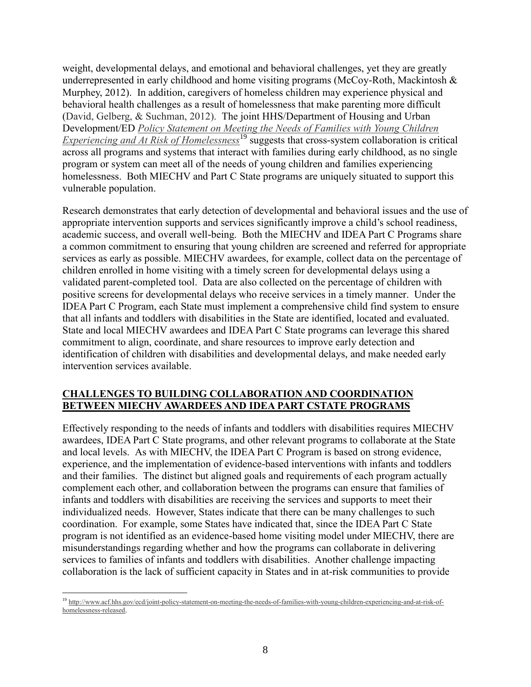weight, developmental delays, and emotional and behavioral challenges, yet they are greatly underrepresented in early childhood and home visiting programs (McCoy-Roth, Mackintosh  $\&$ Murphey, 2012). In addition, caregivers of homeless children may experience physical and behavioral health challenges as a result of homelessness that make parenting more difficult (David, Gelberg, & Suchman, 2012). The joint HHS/Department of Housing and Urban Development/ED *[Policy Statement on Meeting the Needs of Families with Young Children](https://www.acf.hhs.gov/sites/default/files/ecd/echomelessnesspolicystatement.pdf)  [Experiencing and At Risk of Homelessness](https://www.acf.hhs.gov/sites/default/files/ecd/echomelessnesspolicystatement.pdf)*<sup>19</sup> suggests that cross-system collaboration is critical across all programs and systems that interact with families during early childhood, as no single program or system can meet all of the needs of young children and families experiencing homelessness. Both MIECHV and Part C State programs are uniquely situated to support this vulnerable population.

Research demonstrates that early detection of developmental and behavioral issues and the use of appropriate intervention supports and services significantly improve a child's school readiness, academic success, and overall well-being. Both the MIECHV and IDEA Part C Programs share a common commitment to ensuring that young children are screened and referred for appropriate services as early as possible. MIECHV awardees, for example, collect data on the percentage of children enrolled in home visiting with a timely screen for developmental delays using a validated parent-completed tool. Data are also collected on the percentage of children with positive screens for developmental delays who receive services in a timely manner. Under the IDEA Part C Program, each State must implement a comprehensive child find system to ensure that all infants and toddlers with disabilities in the State are identified, located and evaluated. State and local MIECHV awardees and IDEA Part C State programs can leverage this shared commitment to align, coordinate, and share resources to improve early detection and identification of children with disabilities and developmental delays, and make needed early intervention services available.

## **CHALLENGES TO BUILDING COLLABORATION AND COORDINATION BETWEEN MIECHV AWARDEES AND IDEA PART CSTATE PROGRAMS**

Effectively responding to the needs of infants and toddlers with disabilities requires MIECHV awardees, IDEA Part C State programs, and other relevant programs to collaborate at the State and local levels. As with MIECHV, the IDEA Part C Program is based on strong evidence, experience, and the implementation of evidence-based interventions with infants and toddlers and their families. The distinct but aligned goals and requirements of each program actually complement each other, and collaboration between the programs can ensure that families of infants and toddlers with disabilities are receiving the services and supports to meet their individualized needs. However, States indicate that there can be many challenges to such coordination. For example, some States have indicated that, since the IDEA Part C State program is not identified as an evidence-based home visiting model under MIECHV, there are misunderstandings regarding whether and how the programs can collaborate in delivering services to families of infants and toddlers with disabilities. Another challenge impacting collaboration is the lack of sufficient capacity in States and in at-risk communities to provide

 $\overline{a}$ <sup>19</sup> [http://www.acf.hhs.gov/ecd/joint-policy-statement-on-meeting-the-needs-of-families-with-young-children-experiencing-and-at-risk-of](http://www.acf.hhs.gov/ecd/joint-policy-statement-on-meeting-the-needs-of-families-with-young-children-experiencing-and-at-risk-of-homelessness-released)[homelessness-released.](http://www.acf.hhs.gov/ecd/joint-policy-statement-on-meeting-the-needs-of-families-with-young-children-experiencing-and-at-risk-of-homelessness-released)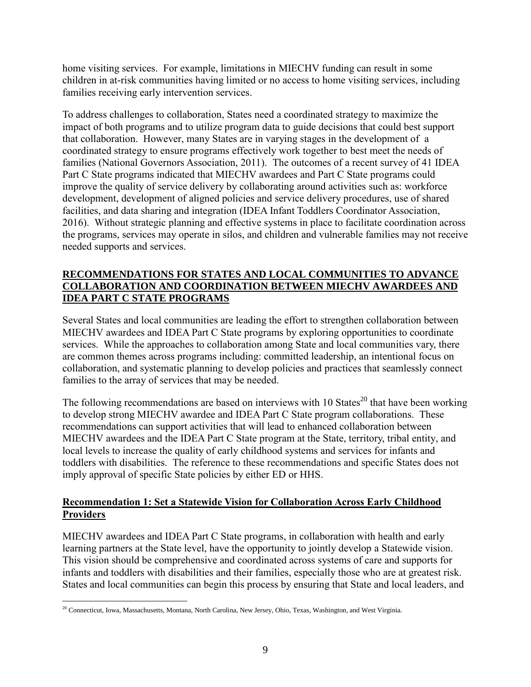home visiting services. For example, limitations in MIECHV funding can result in some children in at-risk communities having limited or no access to home visiting services, including families receiving early intervention services.

To address challenges to collaboration, States need a coordinated strategy to maximize the impact of both programs and to utilize program data to guide decisions that could best support that collaboration. However, many States are in varying stages in the development of a coordinated strategy to ensure programs effectively work together to best meet the needs of families (National Governors Association, 2011). The outcomes of a recent survey of 41 IDEA Part C State programs indicated that MIECHV awardees and Part C State programs could improve the quality of service delivery by collaborating around activities such as: workforce development, development of aligned policies and service delivery procedures, use of shared facilities, and data sharing and integration (IDEA Infant Toddlers Coordinator Association, 2016). Without strategic planning and effective systems in place to facilitate coordination across the programs, services may operate in silos, and children and vulnerable families may not receive needed supports and services.

## **RECOMMENDATIONS FOR STATES AND LOCAL COMMUNITIES TO ADVANCE COLLABORATION AND COORDINATION BETWEEN MIECHV AWARDEES AND IDEA PART C STATE PROGRAMS**

Several States and local communities are leading the effort to strengthen collaboration between MIECHV awardees and IDEA Part C State programs by exploring opportunities to coordinate services. While the approaches to collaboration among State and local communities vary, there are common themes across programs including: committed leadership, an intentional focus on collaboration, and systematic planning to develop policies and practices that seamlessly connect families to the array of services that may be needed.

The following recommendations are based on interviews with 10 States<sup>20</sup> that have been working to develop strong MIECHV awardee and IDEA Part C State program collaborations. These recommendations can support activities that will lead to enhanced collaboration between MIECHV awardees and the IDEA Part C State program at the State, territory, tribal entity, and local levels to increase the quality of early childhood systems and services for infants and toddlers with disabilities. The reference to these recommendations and specific States does not imply approval of specific State policies by either ED or HHS.

## **Recommendation 1: Set a Statewide Vision for Collaboration Across Early Childhood Providers**

MIECHV awardees and IDEA Part C State programs, in collaboration with health and early learning partners at the State level, have the opportunity to jointly develop a Statewide vision. This vision should be comprehensive and coordinated across systems of care and supports for infants and toddlers with disabilities and their families, especially those who are at greatest risk. States and local communities can begin this process by ensuring that State and local leaders, and

 $\overline{a}$ <sup>20</sup> Connecticut, Iowa, Massachusetts, Montana, North Carolina, New Jersey, Ohio, Texas, Washington, and West Virginia.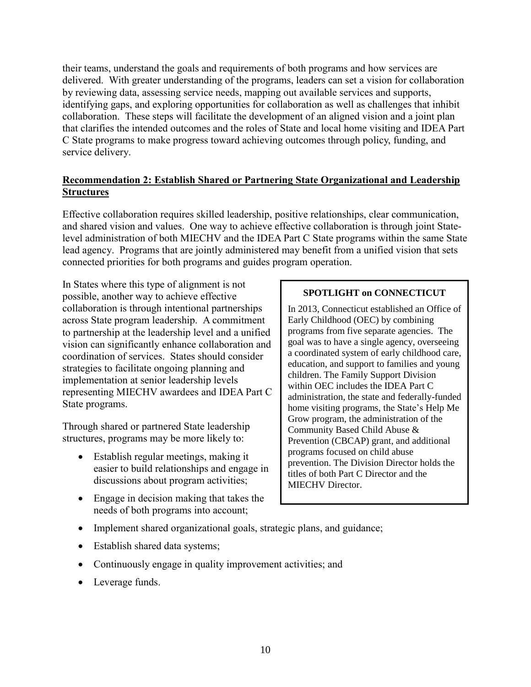their teams, understand the goals and requirements of both programs and how services are delivered. With greater understanding of the programs, leaders can set a vision for collaboration by reviewing data, assessing service needs, mapping out available services and supports, identifying gaps, and exploring opportunities for collaboration as well as challenges that inhibit collaboration. These steps will facilitate the development of an aligned vision and a joint plan that clarifies the intended outcomes and the roles of State and local home visiting and IDEA Part C State programs to make progress toward achieving outcomes through policy, funding, and service delivery.

## **Recommendation 2: Establish Shared or Partnering State Organizational and Leadership Structures**

Effective collaboration requires skilled leadership, positive relationships, clear communication, and shared vision and values. One way to achieve effective collaboration is through joint Statelevel administration of both MIECHV and the IDEA Part C State programs within the same State lead agency. Programs that are jointly administered may benefit from a unified vision that sets connected priorities for both programs and guides program operation.

In States where this type of alignment is not possible, another way to achieve effective collaboration is through intentional partnerships across State program leadership. A commitment to partnership at the leadership level and a unified vision can significantly enhance collaboration and coordination of services. States should consider strategies to facilitate ongoing planning and implementation at senior leadership levels representing MIECHV awardees and IDEA Part C State programs.

Through shared or partnered State leadership structures, programs may be more likely to:

- Establish regular meetings, making it easier to build relationships and engage in discussions about program activities;
- Engage in decision making that takes the needs of both programs into account;

## **SPOTLIGHT on CONNECTICUT**

In 2013, Connecticut established an Office of Early Childhood (OEC) by combining programs from five separate agencies. The goal was to have a single agency, overseeing a coordinated system of early childhood care, education, and support to families and young children. The Family Support Division within OEC includes the IDEA Part C administration, the state and federally-funded home visiting programs, the State's Help Me Grow program, the administration of the Community Based Child Abuse & Prevention (CBCAP) grant, and additional programs focused on child abuse prevention. The Division Director holds the titles of both Part C Director and the MIECHV Director.

- Implement shared organizational goals, strategic plans, and guidance;
- Establish shared data systems;
- Continuously engage in quality improvement activities; and
- Leverage funds.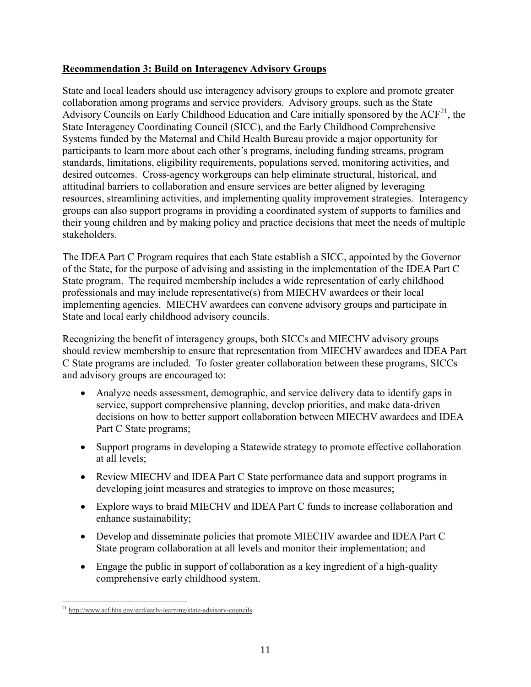## **Recommendation 3: Build on Interagency Advisory Groups**

State and local leaders should use interagency advisory groups to explore and promote greater collaboration among programs and service providers. Advisory groups, such as the State Advisory Councils on Early Childhood Education and Care initially sponsored by the  $ACF<sup>21</sup>$ , the State Interagency Coordinating Council (SICC), and the Early Childhood Comprehensive Systems funded by the Maternal and Child Health Bureau provide a major opportunity for participants to learn more about each other's programs, including funding streams, program standards, limitations, eligibility requirements, populations served, monitoring activities, and desired outcomes. Cross-agency workgroups can help eliminate structural, historical, and attitudinal barriers to collaboration and ensure services are better aligned by leveraging resources, streamlining activities, and implementing quality improvement strategies. Interagency groups can also support programs in providing a coordinated system of supports to families and their young children and by making policy and practice decisions that meet the needs of multiple stakeholders.

The IDEA Part C Program requires that each State establish a SICC, appointed by the Governor of the State, for the purpose of advising and assisting in the implementation of the IDEA Part C State program. The required membership includes a wide representation of early childhood professionals and may include representative(s) from MIECHV awardees or their local implementing agencies. MIECHV awardees can convene advisory groups and participate in State and local early childhood advisory councils.

Recognizing the benefit of interagency groups, both SICCs and MIECHV advisory groups should review membership to ensure that representation from MIECHV awardees and IDEA Part C State programs are included. To foster greater collaboration between these programs, SICCs and advisory groups are encouraged to:

- Analyze needs assessment, demographic, and service delivery data to identify gaps in service, support comprehensive planning, develop priorities, and make data-driven decisions on how to better support collaboration between MIECHV awardees and IDEA Part C State programs;
- Support programs in developing a Statewide strategy to promote effective collaboration at all levels;
- Review MIECHV and IDEA Part C State performance data and support programs in developing joint measures and strategies to improve on those measures;
- Explore ways to braid MIECHV and IDEA Part C funds to increase collaboration and enhance sustainability;
- Develop and disseminate policies that promote MIECHV awardee and IDEA Part C State program collaboration at all levels and monitor their implementation; and
- Engage the public in support of collaboration as a key ingredient of a high-quality comprehensive early childhood system.

 $\overline{a}$ <sup>21</sup> http://www.acf.hhs.gov/ecd/early-learning/state-advisory-councils.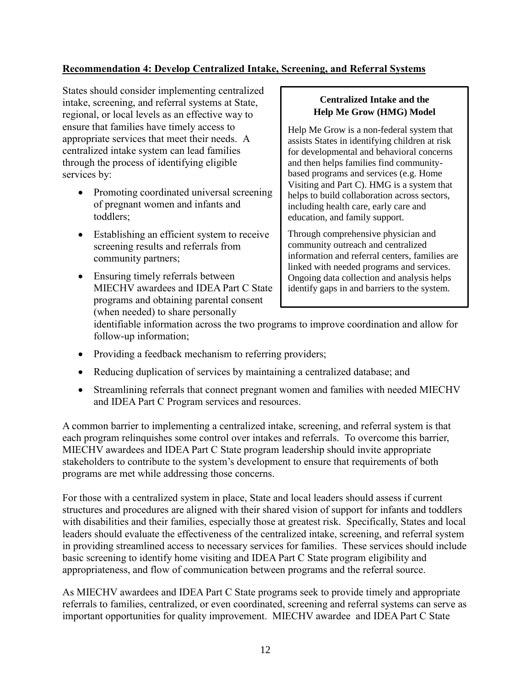## **Recommendation 4: Develop Centralized Intake, Screening, and Referral Systems**

States should consider implementing centralized intake, screening, and referral systems at State, regional, or local levels as an effective way to ensure that families have timely access to appropriate services that meet their needs. A centralized intake system can lead families through the process of identifying eligible services by:

- Promoting coordinated universal screening of pregnant women and infants and toddlers;
- Establishing an efficient system to receive screening results and referrals from community partners;
- Ensuring timely referrals between MIECHV awardees and IDEA Part C State programs and obtaining parental consent (when needed) to share personally

#### **Centralized Intake and the Help Me Grow (HMG) Model**

Help Me Grow is a non-federal system that assists States in identifying children at risk for developmental and behavioral concerns and then helps families find communitybased programs and services (e.g. Home Visiting and Part C). HMG is a system that helps to build collaboration across sectors, including health care, early care and education, and family support.

Through comprehensive physician and community outreach and centralized information and referral centers, families are linked with needed programs and services. Ongoing data collection and analysis helps identify gaps in and barriers to the system.

identifiable information across the two programs to improve coordination and allow for follow-up information;

- Providing a feedback mechanism to referring providers;
- Reducing duplication of services by maintaining a centralized database; and
- Streamlining referrals that connect pregnant women and families with needed MIECHV and IDEA Part C Program services and resources.

A common barrier to implementing a centralized intake, screening, and referral system is that each program relinquishes some control over intakes and referrals. To overcome this barrier, MIECHV awardees and IDEA Part C State program leadership should invite appropriate stakeholders to contribute to the system's development to ensure that requirements of both programs are met while addressing those concerns.

For those with a centralized system in place, State and local leaders should assess if current structures and procedures are aligned with their shared vision of support for infants and toddlers with disabilities and their families, especially those at greatest risk. Specifically, States and local leaders should evaluate the effectiveness of the centralized intake, screening, and referral system in providing streamlined access to necessary services for families. These services should include basic screening to identify home visiting and IDEA Part C State program eligibility and appropriateness, and flow of communication between programs and the referral source.

As MIECHV awardees and IDEA Part C State programs seek to provide timely and appropriate referrals to families, centralized, or even coordinated, screening and referral systems can serve as important opportunities for quality improvement. MIECHV awardee and IDEA Part C State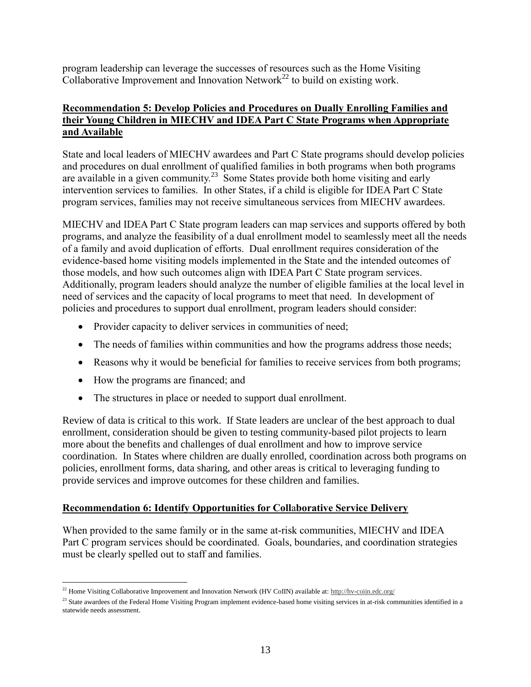program leadership can leverage the successes of resources such as the Home Visiting Collaborative Improvement and Innovation Network<sup>22</sup> to build on existing work.

## **Recommendation 5: Develop Policies and Procedures on Dually Enrolling Families and their Young Children in MIECHV and IDEA Part C State Programs when Appropriate and Available**

State and local leaders of MIECHV awardees and Part C State programs should develop policies and procedures on dual enrollment of qualified families in both programs when both programs are available in a given community.<sup>23</sup> Some States provide both home visiting and early intervention services to families. In other States, if a child is eligible for IDEA Part C State program services, families may not receive simultaneous services from MIECHV awardees.

MIECHV and IDEA Part C State program leaders can map services and supports offered by both programs, and analyze the feasibility of a dual enrollment model to seamlessly meet all the needs of a family and avoid duplication of efforts. Dual enrollment requires consideration of the evidence-based home visiting models implemented in the State and the intended outcomes of those models, and how such outcomes align with IDEA Part C State program services. Additionally, program leaders should analyze the number of eligible families at the local level in need of services and the capacity of local programs to meet that need. In development of policies and procedures to support dual enrollment, program leaders should consider:

- Provider capacity to deliver services in communities of need;
- The needs of families within communities and how the programs address those needs;
- Reasons why it would be beneficial for families to receive services from both programs;
- How the programs are financed; and
- The structures in place or needed to support dual enrollment.

Review of data is critical to this work. If State leaders are unclear of the best approach to dual enrollment, consideration should be given to testing community-based pilot projects to learn more about the benefits and challenges of dual enrollment and how to improve service coordination. In States where children are dually enrolled, coordination across both programs on policies, enrollment forms, data sharing, and other areas is critical to leveraging funding to provide services and improve outcomes for these children and families.

# **Recommendation 6: Identify Opportunities for Coll**a**borative Service Delivery**

When provided to the same family or in the same at-risk communities, MIECHV and IDEA Part C program services should be coordinated. Goals, boundaries, and coordination strategies must be clearly spelled out to staff and families.

 $\overline{a}$ <sup>22</sup> Home Visiting Collaborative Improvement and Innovation Network (HV CoIIN) available at[: http://hv-coiin.edc.org/](http://hv-coiin.edc.org/)

<sup>&</sup>lt;sup>23</sup> State awardees of the Federal Home Visiting Program implement evidence-based home visiting services in at-risk communities identified in a statewide needs assessment.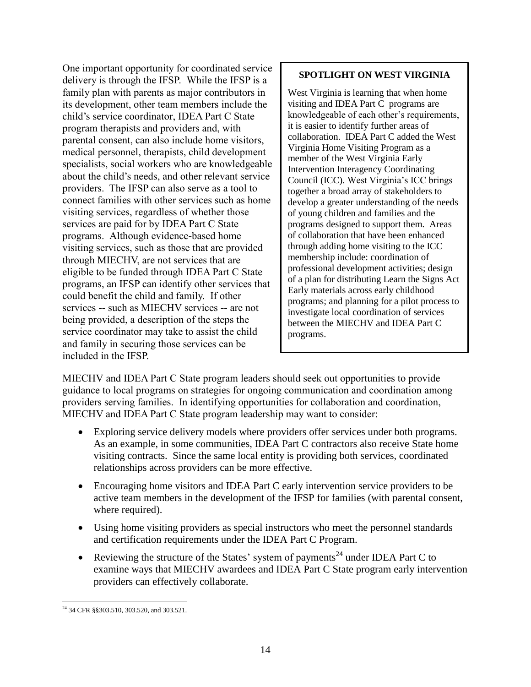One important opportunity for coordinated service delivery is through the IFSP. While the IFSP is a family plan with parents as major contributors in its development, other team members include the child's service coordinator, IDEA Part C State program therapists and providers and, with parental consent, can also include home visitors, medical personnel, therapists, child development specialists, social workers who are knowledgeable about the child's needs, and other relevant service providers. The IFSP can also serve as a tool to connect families with other services such as home visiting services, regardless of whether those services are paid for by IDEA Part C State programs. Although evidence-based home visiting services, such as those that are provided through MIECHV, are not services that are eligible to be funded through IDEA Part C State programs, an IFSP can identify other services that could benefit the child and family. If other services -- such as MIECHV services -- are not being provided, a description of the steps the service coordinator may take to assist the child and family in securing those services can be included in the IFSP.

## **SPOTLIGHT ON WEST VIRGINIA**

West Virginia is learning that when home visiting and IDEA Part C programs are knowledgeable of each other's requirements, it is easier to identify further areas of collaboration. IDEA Part C added the West Virginia Home Visiting Program as a member of the West Virginia Early Intervention Interagency Coordinating Council (ICC). West Virginia's ICC brings together a broad array of stakeholders to develop a greater understanding of the needs of young children and families and the programs designed to support them. Areas of collaboration that have been enhanced through adding home visiting to the ICC membership include: coordination of professional development activities; design of a plan for distributing Learn the Signs Act Early materials across early childhood programs; and planning for a pilot process to investigate local coordination of services between the MIECHV and IDEA Part C programs.

MIECHV and IDEA Part C State program leaders should seek out opportunities to provide guidance to local programs on strategies for ongoing communication and coordination among providers serving families. In identifying opportunities for collaboration and coordination, MIECHV and IDEA Part C State program leadership may want to consider:

- Exploring service delivery models where providers offer services under both programs. As an example, in some communities, IDEA Part C contractors also receive State home visiting contracts. Since the same local entity is providing both services, coordinated relationships across providers can be more effective.
- Encouraging home visitors and IDEA Part C early intervention service providers to be active team members in the development of the IFSP for families (with parental consent, where required).
- Using home visiting providers as special instructors who meet the personnel standards and certification requirements under the IDEA Part C Program.
- Reviewing the structure of the States' system of payments<sup>24</sup> under IDEA Part C to examine ways that MIECHV awardees and IDEA Part C State program early intervention providers can effectively collaborate.

 $\overline{a}$ <sup>24</sup> 34 CFR §§303.510, 303.520, and 303.521.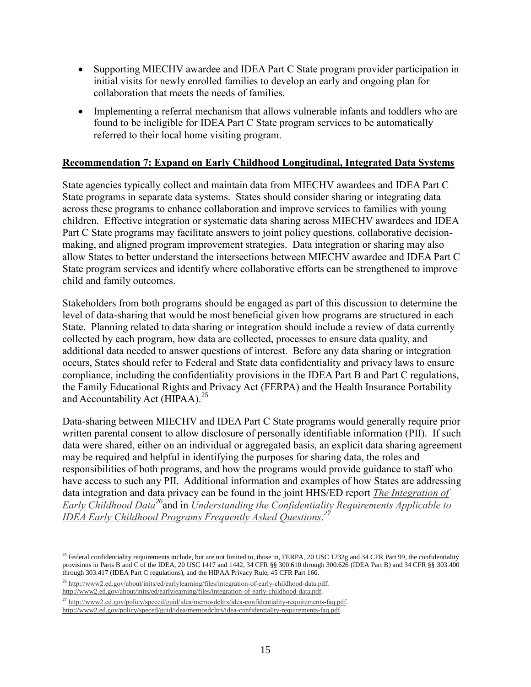- Supporting MIECHV awardee and IDEA Part C State program provider participation in initial visits for newly enrolled families to develop an early and ongoing plan for collaboration that meets the needs of families.
- Implementing a referral mechanism that allows vulnerable infants and toddlers who are found to be ineligible for IDEA Part C State program services to be automatically referred to their local home visiting program.

## **Recommendation 7: Expand on Early Childhood Longitudinal, Integrated Data Systems**

State agencies typically collect and maintain data from MIECHV awardees and IDEA Part C State programs in separate data systems. States should consider sharing or integrating data across these programs to enhance collaboration and improve services to families with young children. Effective integration or systematic data sharing across MIECHV awardees and IDEA Part C State programs may facilitate answers to joint policy questions, collaborative decisionmaking, and aligned program improvement strategies. Data integration or sharing may also allow States to better understand the intersections between MIECHV awardee and IDEA Part C State program services and identify where collaborative efforts can be strengthened to improve child and family outcomes.

Stakeholders from both programs should be engaged as part of this discussion to determine the level of data-sharing that would be most beneficial given how programs are structured in each State. Planning related to data sharing or integration should include a review of data currently collected by each program, how data are collected, processes to ensure data quality, and additional data needed to answer questions of interest. Before any data sharing or integration occurs, States should refer to Federal and State data confidentiality and privacy laws to ensure compliance, including the confidentiality provisions in the IDEA Part B and Part C regulations, the Family Educational Rights and Privacy Act (FERPA) and the Health Insurance Portability and Accountability Act (HIPAA).<sup>25</sup>

Data-sharing between MIECHV and IDEA Part C State programs would generally require prior written parental consent to allow disclosure of personally identifiable information (PII). If such data were shared, either on an individual or aggregated basis, an explicit data sharing agreement may be required and helpful in identifying the purposes for sharing data, the roles and responsibilities of both programs, and how the programs would provide guidance to staff who have access to such any PII. Additional information and examples of how States are addressing data integration and data privacy can be found in the joint HHS/ED report *[The Integration of](http://www2.ed.gov/about/inits/ed/earlylearning/files/integration-of-early-childhood-data.pdf)  [Early Childhood Data](http://www2.ed.gov/about/inits/ed/earlylearning/files/integration-of-early-childhood-data.pdf)<sup>26</sup>*and in *[Understanding the Confidentiality Requirements Applicable to](http://www2.ed.gov/policy/speced/guid/idea/memosdcltrs/idea-confidentiality-requirements-faq.pdf)  [IDEA Early Childhood Programs Frequently Asked Questions](http://www2.ed.gov/policy/speced/guid/idea/memosdcltrs/idea-confidentiality-requirements-faq.pdf)*. *27*

 $\overline{a}$ 

 $25$  Federal confidentiality requirements include, but are not limited to, those in, FERPA, 20 USC 1232g and 34 CFR Part 99, the confidentiality provisions in Parts B and C of the IDEA, 20 USC 1417 and 1442, 34 CFR §§ 300.610 through 300.626 (IDEA Part B) and 34 CFR §§ 303.400 through 303.417 (IDEA Part C regulations), and the HIPAA Privacy Rule, 45 CFR Part 160.

<sup>26</sup> [http://www2.ed.gov/about/inits/ed/earlylearning/files/integration-of-early-childhood-data.pdf.](http://www2.ed.gov/about/inits/ed/earlylearning/files/integration-of-early-childhood-data.pdf)  [http://www2.ed.gov/about/inits/ed/earlylearning/files/integration-of-early-childhood-data.pdf.](http://www2.ed.gov/about/inits/ed/earlylearning/files/integration-of-early-childhood-data.pdf)

<sup>&</sup>lt;sup>27</sup> [http://www2.ed.gov/policy/speced/guid/idea/memosdcltrs/idea-confidentiality-requirements-faq.pdf.](http://www2.ed.gov/policy/speced/guid/idea/memosdcltrs/idea-confidentiality-requirements-faq.pdf) [http://www2.ed.gov/policy/speced/guid/idea/memosdcltrs/idea-confidentiality-requirements-faq.pdf.](http://www2.ed.gov/policy/speced/guid/idea/memosdcltrs/idea-confidentiality-requirements-faq.pdf)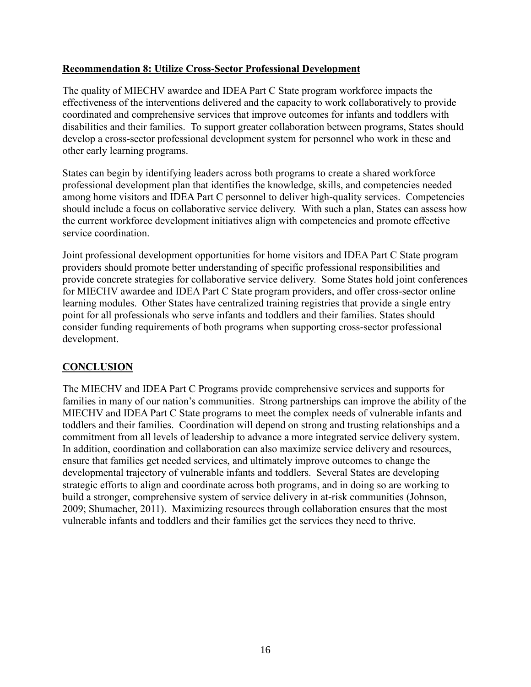## **Recommendation 8: Utilize Cross-Sector Professional Development**

The quality of MIECHV awardee and IDEA Part C State program workforce impacts the effectiveness of the interventions delivered and the capacity to work collaboratively to provide coordinated and comprehensive services that improve outcomes for infants and toddlers with disabilities and their families. To support greater collaboration between programs, States should develop a cross-sector professional development system for personnel who work in these and other early learning programs.

States can begin by identifying leaders across both programs to create a shared workforce professional development plan that identifies the knowledge, skills, and competencies needed among home visitors and IDEA Part C personnel to deliver high-quality services. Competencies should include a focus on collaborative service delivery. With such a plan, States can assess how the current workforce development initiatives align with competencies and promote effective service coordination.

Joint professional development opportunities for home visitors and IDEA Part C State program providers should promote better understanding of specific professional responsibilities and provide concrete strategies for collaborative service delivery. Some States hold joint conferences for MIECHV awardee and IDEA Part C State program providers, and offer cross-sector online learning modules. Other States have centralized training registries that provide a single entry point for all professionals who serve infants and toddlers and their families. States should consider funding requirements of both programs when supporting cross-sector professional development.

# **CONCLUSION**

The MIECHV and IDEA Part C Programs provide comprehensive services and supports for families in many of our nation's communities. Strong partnerships can improve the ability of the MIECHV and IDEA Part C State programs to meet the complex needs of vulnerable infants and toddlers and their families. Coordination will depend on strong and trusting relationships and a commitment from all levels of leadership to advance a more integrated service delivery system. In addition, coordination and collaboration can also maximize service delivery and resources, ensure that families get needed services, and ultimately improve outcomes to change the developmental trajectory of vulnerable infants and toddlers. Several States are developing strategic efforts to align and coordinate across both programs, and in doing so are working to build a stronger, comprehensive system of service delivery in at-risk communities (Johnson, 2009; Shumacher, 2011). Maximizing resources through collaboration ensures that the most vulnerable infants and toddlers and their families get the services they need to thrive.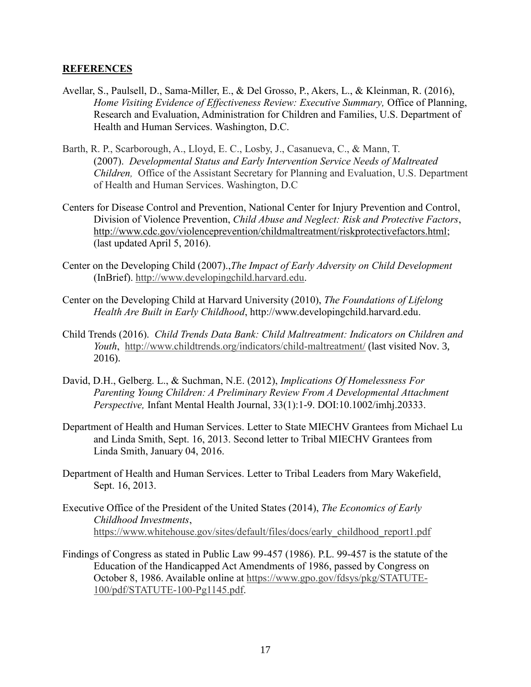#### **REFERENCES**

- Avellar, S., Paulsell, D., Sama-Miller, E., & Del Grosso, P., Akers, L., & Kleinman, R. (2016), *Home Visiting Evidence of Effectiveness Review: Executive Summary,* Office of Planning, Research and Evaluation, Administration for Children and Families, U.S. Department of Health and Human Services. Washington, D.C.
- Barth, R. P., Scarborough, A., Lloyd, E. C., Losby, J., Casanueva, C., & Mann, T. (2007). *[Developmental Status and Early Intervention Service Needs of Maltreated](http://aspe.hhs.gov/hsp/08/devneeds/index.htm)  [Children,](http://aspe.hhs.gov/hsp/08/devneeds/index.htm)* Office of the Assistant Secretary for Planning and Evaluation, U.S. Department of Health and Human Services. Washington, D.C
- [Centers for Disease Control and Prevention,](http://www.cdc.gov/) [National Center for Injury Prevention and Control,](http://www.cdc.gov/injury/) [Division of Violence Prevention,](http://www.cdc.gov/ViolencePrevention/index.html) *Child Abuse and Neglect: Risk and Protective Factors*, [http://www.cdc.gov/violenceprevention/childmaltreatment/riskprotectivefactors.html;](http://www.cdc.gov/violenceprevention/childmaltreatment/riskprotectivefactors.html) (last updated April 5, 2016).
- Center on the Developing Child (2007).,*The Impact of Early Adversity on Child Development* (InBrief). [http://www.developingchild.harvard.edu.](http://www.developingchild.harvard.edu/)
- Center on the Developing Child at Harvard University (2010), *The Foundations of Lifelong Health Are Built in Early Childhood*, http://www.developingchild.harvard.edu.
- Child Trends (2016). *Child Trends Data Bank: Child Maltreatment: Indicators on Children and Youth*, <http://www.childtrends.org/indicators/child-maltreatment/> (last visited Nov. 3, 2016).
- David, D.H., Gelberg. L., & Suchman, N.E. (2012), *Implications Of Homelessness For Parenting Young Children: A Preliminary Review From A Developmental Attachment Perspective,* Infant Mental Health Journal, 33(1):1-9. DOI:10.1002/imhj.20333.
- Department of Health and Human Services. Letter to State MIECHV Grantees from Michael Lu and Linda Smith, Sept. 16, 2013. Second letter to Tribal MIECHV Grantees from Linda Smith, January 04, 2016.
- Department of Health and Human Services. Letter to Tribal Leaders from Mary Wakefield, Sept. 16, 2013.
- Executive Office of the President of the United States (2014), *The Economics of Early Childhood Investments*, [https://www.whitehouse.gov/sites/default/files/docs/early\\_childhood\\_report1.pdf](https://www.whitehouse.gov/sites/default/files/docs/early_childhood_report1.pdf)
- Findings of Congress as stated in Public Law 99-457 (1986). P.L. 99-457 is the statute of the Education of the Handicapped Act Amendments of 1986, passed by Congress on October 8, 1986. Available online at [https://www.gpo.gov/fdsys/pkg/STATUTE-](https://www.gpo.gov/fdsys/pkg/STATUTE-100/pdf/STATUTE-100-Pg1145.pdf)[100/pdf/STATUTE-100-Pg1145.pdf.](https://www.gpo.gov/fdsys/pkg/STATUTE-100/pdf/STATUTE-100-Pg1145.pdf)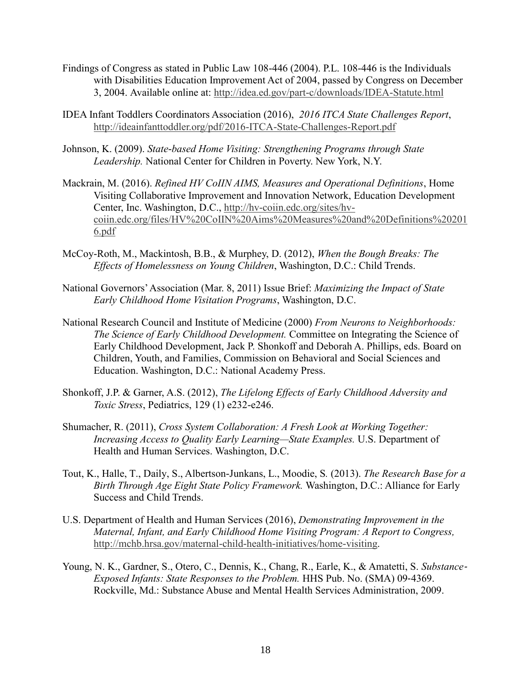- Findings of Congress as stated in Public Law 108-446 (2004). P.L. 108-446 is the Individuals with Disabilities Education Improvement Act of 2004, passed by Congress on December 3, 2004. Available online at:<http://idea.ed.gov/part-c/downloads/IDEA-Statute.html>
- IDEA Infant Toddlers Coordinators Association (2016), *2016 ITCA State Challenges Report*, <http://ideainfanttoddler.org/pdf/2016-ITCA-State-Challenges-Report.pdf>
- Johnson, K. (2009). *State-based Home Visiting: Strengthening Programs through State Leadership.* National Center for Children in Poverty. New York, N.Y.
- Mackrain, M. (2016). *Refined HV CoIIN AIMS, Measures and Operational Definitions*, Home Visiting Collaborative Improvement and Innovation Network, Education Development Center, Inc. Washington, D.C., [http://hv-coiin.edc.org/sites/hv](http://hv-coiin.edc.org/sites/hv-coiin.edc.org/files/HV%20CoIIN%20Aims%20Measures%20and%20Definitions%202016.pdf)[coiin.edc.org/files/HV%20CoIIN%20Aims%20Measures%20and%20Definitions%20201](http://hv-coiin.edc.org/sites/hv-coiin.edc.org/files/HV%20CoIIN%20Aims%20Measures%20and%20Definitions%202016.pdf) [6.pdf](http://hv-coiin.edc.org/sites/hv-coiin.edc.org/files/HV%20CoIIN%20Aims%20Measures%20and%20Definitions%202016.pdf)
- McCoy-Roth, M., Mackintosh, B.B., & Murphey, D. (2012), *When the Bough Breaks: The Effects of Homelessness on Young Children*, Washington, D.C.: Child Trends.
- National Governors' Association (Mar. 8, 2011) Issue Brief: *Maximizing the Impact of State Early Childhood Home Visitation Programs*, Washington, D.C.
- National Research Council and Institute of Medicine (2000) *From Neurons to Neighborhoods: The Science of Early Childhood Development.* Committee on Integrating the Science of Early Childhood Development, Jack P. Shonkoff and Deborah A. Phillips, eds. Board on Children, Youth, and Families, Commission on Behavioral and Social Sciences and Education. Washington, D.C.: National Academy Press.
- Shonkoff, J.P. & Garner, A.S. (2012), *The Lifelong Effects of Early Childhood Adversity and Toxic Stress*, Pediatrics, 129 (1) e232-e246.
- Shumacher, R. (2011), *Cross System Collaboration: A Fresh Look at Working Together: Increasing Access to Quality Early Learning—State Examples.* U.S. Department of Health and Human Services. Washington, D.C.
- Tout, K., Halle, T., Daily, S., Albertson-Junkans, L., Moodie, S*.* (2013). *The Research Base for a Birth Through Age Eight State Policy Framework.* Washington, D.C.: Alliance for Early Success and Child Trends.
- U.S. Department of Health and Human Services (2016), *Demonstrating Improvement in the Maternal, Infant, and Early Childhood Home Visiting Program: A Report to Congress,* [http://mchb.hrsa.gov/maternal-child-health-initiatives/home-visiting.](http://mchb.hrsa.gov/maternal-child-health-initiatives/home-visiting)
- Young, N. K., Gardner, S., Otero, C., Dennis, K., Chang, R., Earle, K., & Amatetti, S. *Substance*‐ *Exposed Infants: State Responses to the Problem.* HHS Pub. No. (SMA) 09‐4369. Rockville, Md.: Substance Abuse and Mental Health Services Administration, 2009.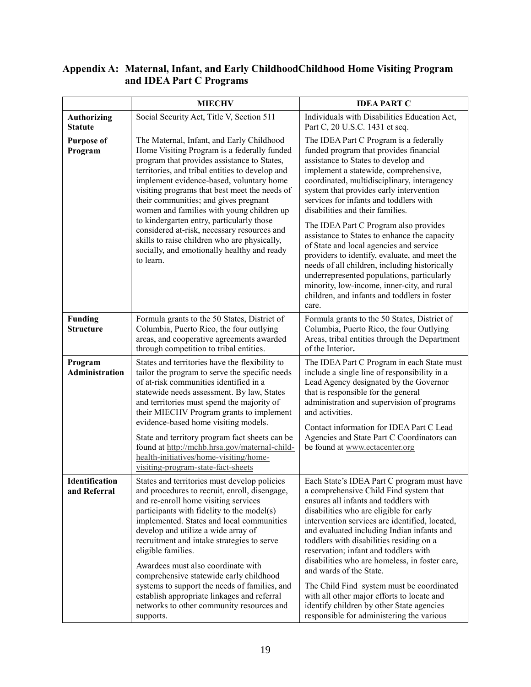#### **Appendix A: Maternal, Infant, and Early ChildhoodChildhood Home Visiting Program and IDEA Part C Programs**

|                                      | <b>MIECHV</b>                                                                                                                                                                                                                                                                                                                                                                                                                                                                                                                                                                         | <b>IDEA PART C</b>                                                                                                                                                                                                                                                                                                                                                                                                                                                                                                                                                                                                                                                                                                                   |  |
|--------------------------------------|---------------------------------------------------------------------------------------------------------------------------------------------------------------------------------------------------------------------------------------------------------------------------------------------------------------------------------------------------------------------------------------------------------------------------------------------------------------------------------------------------------------------------------------------------------------------------------------|--------------------------------------------------------------------------------------------------------------------------------------------------------------------------------------------------------------------------------------------------------------------------------------------------------------------------------------------------------------------------------------------------------------------------------------------------------------------------------------------------------------------------------------------------------------------------------------------------------------------------------------------------------------------------------------------------------------------------------------|--|
| <b>Authorizing</b><br><b>Statute</b> | Social Security Act, Title V, Section 511                                                                                                                                                                                                                                                                                                                                                                                                                                                                                                                                             | Individuals with Disabilities Education Act,<br>Part C, 20 U.S.C. 1431 et seq.                                                                                                                                                                                                                                                                                                                                                                                                                                                                                                                                                                                                                                                       |  |
| <b>Purpose of</b><br>Program         | The Maternal, Infant, and Early Childhood<br>Home Visiting Program is a federally funded<br>program that provides assistance to States,<br>territories, and tribal entities to develop and<br>implement evidence-based, voluntary home<br>visiting programs that best meet the needs of<br>their communities; and gives pregnant<br>women and families with young children up<br>to kindergarten entry, particularly those<br>considered at-risk, necessary resources and<br>skills to raise children who are physically,<br>socially, and emotionally healthy and ready<br>to learn. | The IDEA Part C Program is a federally<br>funded program that provides financial<br>assistance to States to develop and<br>implement a statewide, comprehensive,<br>coordinated, multidisciplinary, interagency<br>system that provides early intervention<br>services for infants and toddlers with<br>disabilities and their families.<br>The IDEA Part C Program also provides<br>assistance to States to enhance the capacity<br>of State and local agencies and service<br>providers to identify, evaluate, and meet the<br>needs of all children, including historically<br>underrepresented populations, particularly<br>minority, low-income, inner-city, and rural<br>children, and infants and toddlers in foster<br>care. |  |
| <b>Funding</b><br><b>Structure</b>   | Formula grants to the 50 States, District of<br>Columbia, Puerto Rico, the four outlying<br>areas, and cooperative agreements awarded<br>through competition to tribal entities.                                                                                                                                                                                                                                                                                                                                                                                                      | Formula grants to the 50 States, District of<br>Columbia, Puerto Rico, the four Outlying<br>Areas, tribal entities through the Department<br>of the Interior.                                                                                                                                                                                                                                                                                                                                                                                                                                                                                                                                                                        |  |
| Program<br><b>Administration</b>     | States and territories have the flexibility to<br>tailor the program to serve the specific needs<br>of at-risk communities identified in a<br>statewide needs assessment. By law, States<br>and territories must spend the majority of<br>their MIECHV Program grants to implement<br>evidence-based home visiting models.                                                                                                                                                                                                                                                            | The IDEA Part C Program in each State must<br>include a single line of responsibility in a<br>Lead Agency designated by the Governor<br>that is responsible for the general<br>administration and supervision of programs<br>and activities.<br>Contact information for IDEA Part C Lead                                                                                                                                                                                                                                                                                                                                                                                                                                             |  |
|                                      | State and territory program fact sheets can be<br>found at http://mchb.hrsa.gov/maternal-child-<br>health-initiatives/home-visiting/home-<br>visiting-program-state-fact-sheets                                                                                                                                                                                                                                                                                                                                                                                                       | Agencies and State Part C Coordinators can<br>be found at www.ectacenter.org                                                                                                                                                                                                                                                                                                                                                                                                                                                                                                                                                                                                                                                         |  |
| Identification<br>and Referral       | States and territories must develop policies<br>and procedures to recruit, enroll, disengage,<br>and re-enroll home visiting services<br>participants with fidelity to the model(s)<br>implemented. States and local communities<br>develop and utilize a wide array of<br>recruitment and intake strategies to serve<br>eligible families.<br>Awardees must also coordinate with<br>comprehensive statewide early childhood<br>systems to support the needs of families, and                                                                                                         | Each State's IDEA Part C program must have<br>a comprehensive Child Find system that<br>ensures all infants and toddlers with<br>disabilities who are eligible for early<br>intervention services are identified, located,<br>and evaluated including Indian infants and<br>toddlers with disabilities residing on a<br>reservation; infant and toddlers with<br>disabilities who are homeless, in foster care,<br>and wards of the State.                                                                                                                                                                                                                                                                                           |  |
|                                      | establish appropriate linkages and referral<br>networks to other community resources and<br>supports.                                                                                                                                                                                                                                                                                                                                                                                                                                                                                 | The Child Find system must be coordinated<br>with all other major efforts to locate and<br>identify children by other State agencies<br>responsible for administering the various                                                                                                                                                                                                                                                                                                                                                                                                                                                                                                                                                    |  |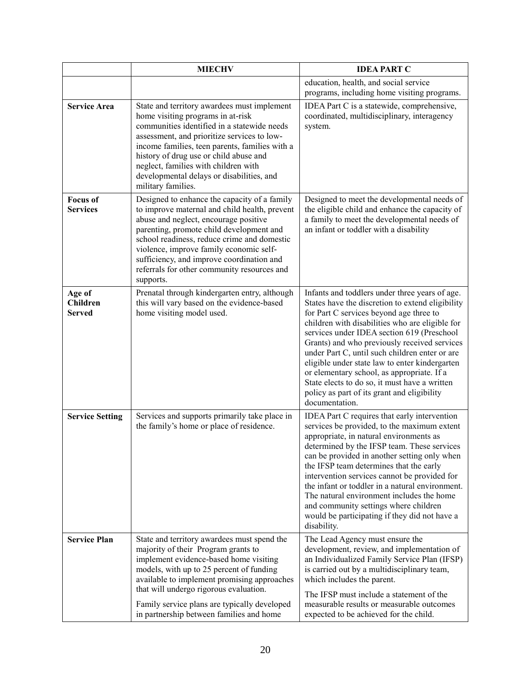|                                            | <b>MIECHV</b>                                                                                                                                                                                                                                                                                                                                                                         | <b>IDEA PART C</b>                                                                                                                                                                                                                                                                                                                                                                                                                                                                                                                                                 |
|--------------------------------------------|---------------------------------------------------------------------------------------------------------------------------------------------------------------------------------------------------------------------------------------------------------------------------------------------------------------------------------------------------------------------------------------|--------------------------------------------------------------------------------------------------------------------------------------------------------------------------------------------------------------------------------------------------------------------------------------------------------------------------------------------------------------------------------------------------------------------------------------------------------------------------------------------------------------------------------------------------------------------|
|                                            |                                                                                                                                                                                                                                                                                                                                                                                       | education, health, and social service<br>programs, including home visiting programs.                                                                                                                                                                                                                                                                                                                                                                                                                                                                               |
| <b>Service Area</b>                        | State and territory awardees must implement<br>home visiting programs in at-risk<br>communities identified in a statewide needs<br>assessment, and prioritize services to low-<br>income families, teen parents, families with a<br>history of drug use or child abuse and<br>neglect, families with children with<br>developmental delays or disabilities, and<br>military families. | IDEA Part C is a statewide, comprehensive,<br>coordinated, multidisciplinary, interagency<br>system.                                                                                                                                                                                                                                                                                                                                                                                                                                                               |
| <b>Focus of</b><br><b>Services</b>         | Designed to enhance the capacity of a family<br>to improve maternal and child health, prevent<br>abuse and neglect, encourage positive<br>parenting, promote child development and<br>school readiness, reduce crime and domestic<br>violence, improve family economic self-<br>sufficiency, and improve coordination and<br>referrals for other community resources and<br>supports. | Designed to meet the developmental needs of<br>the eligible child and enhance the capacity of<br>a family to meet the developmental needs of<br>an infant or toddler with a disability                                                                                                                                                                                                                                                                                                                                                                             |
| Age of<br><b>Children</b><br><b>Served</b> | Prenatal through kindergarten entry, although<br>this will vary based on the evidence-based<br>home visiting model used.                                                                                                                                                                                                                                                              | Infants and toddlers under three years of age.<br>States have the discretion to extend eligibility<br>for Part C services beyond age three to<br>children with disabilities who are eligible for<br>services under IDEA section 619 (Preschool<br>Grants) and who previously received services<br>under Part C, until such children enter or are<br>eligible under state law to enter kindergarten<br>or elementary school, as appropriate. If a<br>State elects to do so, it must have a written<br>policy as part of its grant and eligibility<br>documentation. |
| <b>Service Setting</b>                     | Services and supports primarily take place in<br>the family's home or place of residence.                                                                                                                                                                                                                                                                                             | IDEA Part C requires that early intervention<br>services be provided, to the maximum extent<br>appropriate, in natural environments as<br>determined by the IFSP team. These services<br>can be provided in another setting only when<br>the IFSP team determines that the early<br>intervention services cannot be provided for<br>the infant or toddler in a natural environment.<br>The natural environment includes the home<br>and community settings where children<br>would be participating if they did not have a<br>disability.                          |
| <b>Service Plan</b>                        | State and territory awardees must spend the<br>majority of their Program grants to<br>implement evidence-based home visiting<br>models, with up to 25 percent of funding<br>available to implement promising approaches<br>that will undergo rigorous evaluation.<br>Family service plans are typically developed                                                                     | The Lead Agency must ensure the<br>development, review, and implementation of<br>an Individualized Family Service Plan (IFSP)<br>is carried out by a multidisciplinary team,<br>which includes the parent.<br>The IFSP must include a statement of the<br>measurable results or measurable outcomes                                                                                                                                                                                                                                                                |
|                                            | in partnership between families and home                                                                                                                                                                                                                                                                                                                                              | expected to be achieved for the child.                                                                                                                                                                                                                                                                                                                                                                                                                                                                                                                             |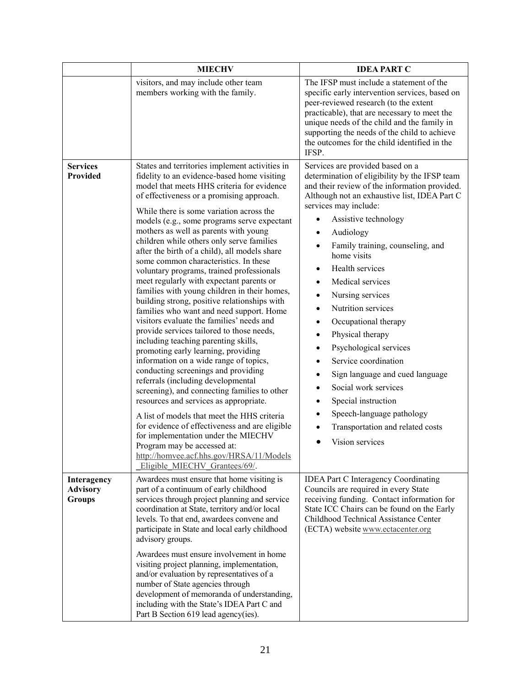|                                                 | <b>MIECHV</b>                                                                                                                                                                                                                                                                                                                                                                                                                                                                                                                                                                                                                                                                                                                                                                                                                                                                                                                                                                                                                                                                                                                                                                                                                                                                                                                                          | <b>IDEA PART C</b>                                                                                                                                                                                                                                                                                                                                                                                                                                                                                                                                                                                                                                                                                                                                                                                                                  |
|-------------------------------------------------|--------------------------------------------------------------------------------------------------------------------------------------------------------------------------------------------------------------------------------------------------------------------------------------------------------------------------------------------------------------------------------------------------------------------------------------------------------------------------------------------------------------------------------------------------------------------------------------------------------------------------------------------------------------------------------------------------------------------------------------------------------------------------------------------------------------------------------------------------------------------------------------------------------------------------------------------------------------------------------------------------------------------------------------------------------------------------------------------------------------------------------------------------------------------------------------------------------------------------------------------------------------------------------------------------------------------------------------------------------|-------------------------------------------------------------------------------------------------------------------------------------------------------------------------------------------------------------------------------------------------------------------------------------------------------------------------------------------------------------------------------------------------------------------------------------------------------------------------------------------------------------------------------------------------------------------------------------------------------------------------------------------------------------------------------------------------------------------------------------------------------------------------------------------------------------------------------------|
|                                                 | visitors, and may include other team<br>members working with the family.                                                                                                                                                                                                                                                                                                                                                                                                                                                                                                                                                                                                                                                                                                                                                                                                                                                                                                                                                                                                                                                                                                                                                                                                                                                                               | The IFSP must include a statement of the<br>specific early intervention services, based on<br>peer-reviewed research (to the extent<br>practicable), that are necessary to meet the<br>unique needs of the child and the family in<br>supporting the needs of the child to achieve<br>the outcomes for the child identified in the<br>IFSP.                                                                                                                                                                                                                                                                                                                                                                                                                                                                                         |
| <b>Services</b><br>Provided                     | States and territories implement activities in<br>fidelity to an evidence-based home visiting<br>model that meets HHS criteria for evidence<br>of effectiveness or a promising approach.<br>While there is some variation across the<br>models (e.g., some programs serve expectant<br>mothers as well as parents with young<br>children while others only serve families<br>after the birth of a child), all models share<br>some common characteristics. In these<br>voluntary programs, trained professionals<br>meet regularly with expectant parents or<br>families with young children in their homes,<br>building strong, positive relationships with<br>families who want and need support. Home<br>visitors evaluate the families' needs and<br>provide services tailored to those needs,<br>including teaching parenting skills,<br>promoting early learning, providing<br>information on a wide range of topics,<br>conducting screenings and providing<br>referrals (including developmental<br>screening), and connecting families to other<br>resources and services as appropriate.<br>A list of models that meet the HHS criteria<br>for evidence of effectiveness and are eligible<br>for implementation under the MIECHV<br>Program may be accessed at:<br>http://homvee.acf.hhs.gov/HRSA/11/Models<br>Eligible MIECHV Grantees/69/. | Services are provided based on a<br>determination of eligibility by the IFSP team<br>and their review of the information provided.<br>Although not an exhaustive list, IDEA Part C<br>services may include:<br>Assistive technology<br>$\bullet$<br>Audiology<br>٠<br>Family training, counseling, and<br>$\bullet$<br>home visits<br>Health services<br>٠<br>Medical services<br>$\bullet$<br>Nursing services<br>$\bullet$<br>Nutrition services<br>$\bullet$<br>Occupational therapy<br>$\bullet$<br>Physical therapy<br>$\bullet$<br>Psychological services<br>$\bullet$<br>Service coordination<br>$\bullet$<br>Sign language and cued language<br>$\bullet$<br>Social work services<br>٠<br>Special instruction<br>$\bullet$<br>Speech-language pathology<br>$\bullet$<br>Transportation and related costs<br>Vision services |
| Interagency<br><b>Advisory</b><br><b>Groups</b> | Awardees must ensure that home visiting is<br>part of a continuum of early childhood<br>services through project planning and service<br>coordination at State, territory and/or local<br>levels. To that end, awardees convene and<br>participate in State and local early childhood<br>advisory groups.<br>Awardees must ensure involvement in home<br>visiting project planning, implementation,<br>and/or evaluation by representatives of a<br>number of State agencies through<br>development of memoranda of understanding,<br>including with the State's IDEA Part C and<br>Part B Section 619 lead agency(ies).                                                                                                                                                                                                                                                                                                                                                                                                                                                                                                                                                                                                                                                                                                                               | <b>IDEA Part C Interagency Coordinating</b><br>Councils are required in every State<br>receiving funding. Contact information for<br>State ICC Chairs can be found on the Early<br>Childhood Technical Assistance Center<br>(ECTA) website www.ectacenter.org                                                                                                                                                                                                                                                                                                                                                                                                                                                                                                                                                                       |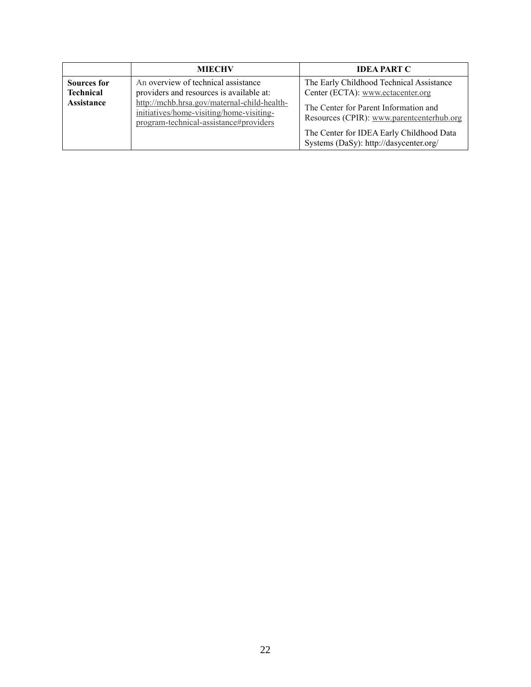|                                                             | <b>MIECHV</b>                                                                                                                                                                                                        | <b>IDEA PART C</b>                                                                                                                                                                                                                                        |
|-------------------------------------------------------------|----------------------------------------------------------------------------------------------------------------------------------------------------------------------------------------------------------------------|-----------------------------------------------------------------------------------------------------------------------------------------------------------------------------------------------------------------------------------------------------------|
| <b>Sources for</b><br><b>Technical</b><br><b>Assistance</b> | An overview of technical assistance<br>providers and resources is available at:<br>http://mchb.hrsa.gov/maternal-child-health-<br>initiatives/home-visiting/home-visiting-<br>program-technical-assistance#providers | The Early Childhood Technical Assistance<br>Center (ECTA): www.ectacenter.org<br>The Center for Parent Information and<br>Resources (CPIR): www.parentcenterhub.org<br>The Center for IDEA Early Childhood Data<br>Systems (DaSy): http://dasycenter.org/ |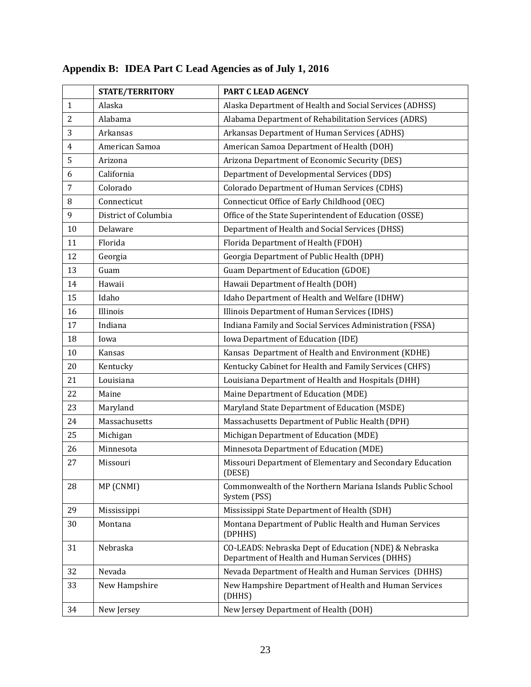|                | <b>STATE/TERRITORY</b> | PART C LEAD AGENCY                                                                                      |
|----------------|------------------------|---------------------------------------------------------------------------------------------------------|
| $\mathbf{1}$   | Alaska                 | Alaska Department of Health and Social Services (ADHSS)                                                 |
| $\overline{2}$ | Alabama                | Alabama Department of Rehabilitation Services (ADRS)                                                    |
| 3              | Arkansas               | Arkansas Department of Human Services (ADHS)                                                            |
| $\overline{4}$ | American Samoa         | American Samoa Department of Health (DOH)                                                               |
| 5              | Arizona                | Arizona Department of Economic Security (DES)                                                           |
| 6              | California             | Department of Developmental Services (DDS)                                                              |
| $\overline{7}$ | Colorado               | <b>Colorado Department of Human Services (CDHS)</b>                                                     |
| 8              | Connecticut            | Connecticut Office of Early Childhood (OEC)                                                             |
| 9              | District of Columbia   | Office of the State Superintendent of Education (OSSE)                                                  |
| 10             | Delaware               | Department of Health and Social Services (DHSS)                                                         |
| 11             | Florida                | Florida Department of Health (FDOH)                                                                     |
| 12             | Georgia                | Georgia Department of Public Health (DPH)                                                               |
| 13             | Guam                   | <b>Guam Department of Education (GDOE)</b>                                                              |
| 14             | Hawaii                 | Hawaii Department of Health (DOH)                                                                       |
| 15             | Idaho                  | Idaho Department of Health and Welfare (IDHW)                                                           |
| 16             | Illinois               | Illinois Department of Human Services (IDHS)                                                            |
| 17             | Indiana                | Indiana Family and Social Services Administration (FSSA)                                                |
| 18             | Iowa                   | Iowa Department of Education (IDE)                                                                      |
| 10             | Kansas                 | Kansas Department of Health and Environment (KDHE)                                                      |
| 20             | Kentucky               | Kentucky Cabinet for Health and Family Services (CHFS)                                                  |
| 21             | Louisiana              | Louisiana Department of Health and Hospitals (DHH)                                                      |
| 22             | Maine                  | Maine Department of Education (MDE)                                                                     |
| 23             | Maryland               | Maryland State Department of Education (MSDE)                                                           |
| 24             | Massachusetts          | Massachusetts Department of Public Health (DPH)                                                         |
| 25             | Michigan               | Michigan Department of Education (MDE)                                                                  |
| 26             | Minnesota              | Minnesota Department of Education (MDE)                                                                 |
| 27             | Missouri               | Missouri Department of Elementary and Secondary Education<br>(DESE)                                     |
| 28             | MP (CNMI)              | Commonwealth of the Northern Mariana Islands Public School<br>System (PSS)                              |
| 29             | Mississippi            | Mississippi State Department of Health (SDH)                                                            |
| 30             | Montana                | Montana Department of Public Health and Human Services<br>(DPHHS)                                       |
| 31             | Nebraska               | CO-LEADS: Nebraska Dept of Education (NDE) & Nebraska<br>Department of Health and Human Services (DHHS) |
| 32             | Nevada                 | Nevada Department of Health and Human Services (DHHS)                                                   |
| 33             | New Hampshire          | New Hampshire Department of Health and Human Services<br>(DHHS)                                         |
| 34             | New Jersey             | New Jersey Department of Health (DOH)                                                                   |

# **Appendix B: IDEA Part C Lead Agencies as of July 1, 2016**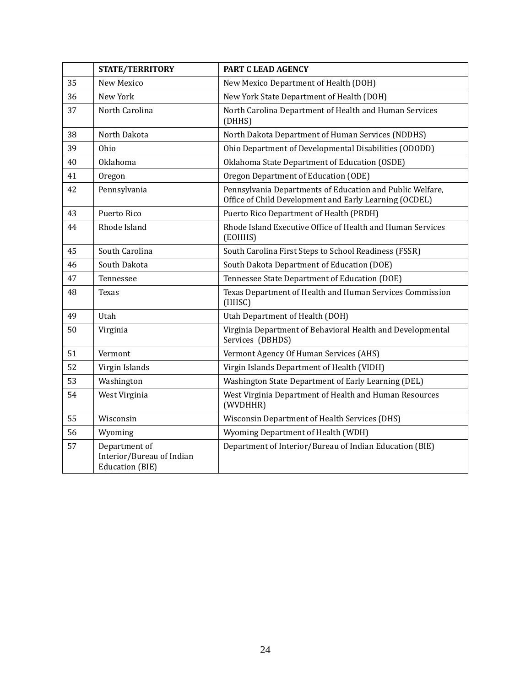|    | <b>STATE/TERRITORY</b>                                               | PART C LEAD AGENCY                                                                                                  |
|----|----------------------------------------------------------------------|---------------------------------------------------------------------------------------------------------------------|
| 35 | <b>New Mexico</b>                                                    | New Mexico Department of Health (DOH)                                                                               |
| 36 | New York                                                             | New York State Department of Health (DOH)                                                                           |
| 37 | North Carolina                                                       | North Carolina Department of Health and Human Services<br>(DHHS)                                                    |
| 38 | North Dakota                                                         | North Dakota Department of Human Services (NDDHS)                                                                   |
| 39 | Ohio                                                                 | Ohio Department of Developmental Disabilities (ODODD)                                                               |
| 40 | Oklahoma                                                             | Oklahoma State Department of Education (OSDE)                                                                       |
| 41 | Oregon                                                               | Oregon Department of Education (ODE)                                                                                |
| 42 | Pennsylvania                                                         | Pennsylvania Departments of Education and Public Welfare,<br>Office of Child Development and Early Learning (OCDEL) |
| 43 | Puerto Rico                                                          | Puerto Rico Department of Health (PRDH)                                                                             |
| 44 | Rhode Island                                                         | Rhode Island Executive Office of Health and Human Services<br>(EOHHS)                                               |
| 45 | South Carolina                                                       | South Carolina First Steps to School Readiness (FSSR)                                                               |
| 46 | South Dakota                                                         | South Dakota Department of Education (DOE)                                                                          |
| 47 | Tennessee                                                            | Tennessee State Department of Education (DOE)                                                                       |
| 48 | Texas                                                                | Texas Department of Health and Human Services Commission<br>(HHSC)                                                  |
| 49 | Utah                                                                 | Utah Department of Health (DOH)                                                                                     |
| 50 | Virginia                                                             | Virginia Department of Behavioral Health and Developmental<br>Services (DBHDS)                                      |
| 51 | Vermont                                                              | Vermont Agency Of Human Services (AHS)                                                                              |
| 52 | Virgin Islands                                                       | Virgin Islands Department of Health (VIDH)                                                                          |
| 53 | Washington                                                           | Washington State Department of Early Learning (DEL)                                                                 |
| 54 | West Virginia                                                        | West Virginia Department of Health and Human Resources<br>(WVDHHR)                                                  |
| 55 | Wisconsin                                                            | <b>Wisconsin Department of Health Services (DHS)</b>                                                                |
| 56 | Wyoming                                                              | Wyoming Department of Health (WDH)                                                                                  |
| 57 | Department of<br>Interior/Bureau of Indian<br><b>Education (BIE)</b> | Department of Interior/Bureau of Indian Education (BIE)                                                             |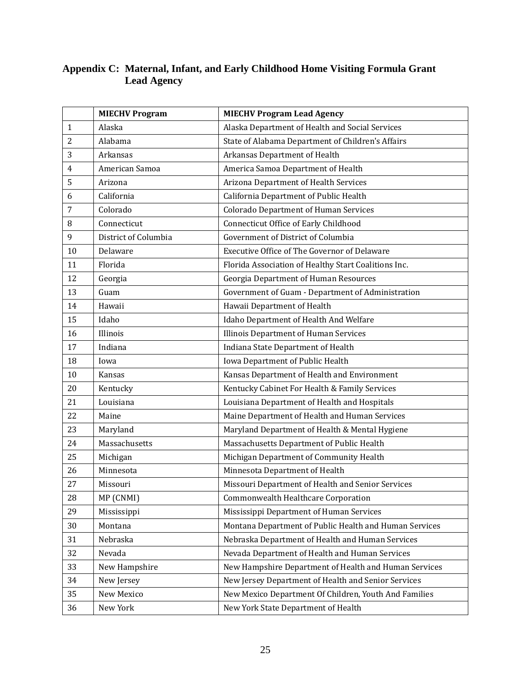|              | <b>MIECHV Program</b> | <b>MIECHV Program Lead Agency</b>                      |
|--------------|-----------------------|--------------------------------------------------------|
| $\mathbf{1}$ | Alaska                | Alaska Department of Health and Social Services        |
| 2            | Alabama               | State of Alabama Department of Children's Affairs      |
| 3            | Arkansas              | Arkansas Department of Health                          |
| 4            | American Samoa        | America Samoa Department of Health                     |
| 5            | Arizona               | Arizona Department of Health Services                  |
| 6            | California            | California Department of Public Health                 |
| 7            | Colorado              | <b>Colorado Department of Human Services</b>           |
| 8            | Connecticut           | Connecticut Office of Early Childhood                  |
| 9            | District of Columbia  | Government of District of Columbia                     |
| 10           | Delaware              | Executive Office of The Governor of Delaware           |
| 11           | Florida               | Florida Association of Healthy Start Coalitions Inc.   |
| 12           | Georgia               | Georgia Department of Human Resources                  |
| 13           | Guam                  | Government of Guam - Department of Administration      |
| 14           | Hawaii                | Hawaii Department of Health                            |
| 15           | Idaho                 | Idaho Department of Health And Welfare                 |
| 16           | Illinois              | <b>Illinois Department of Human Services</b>           |
| 17           | Indiana               | Indiana State Department of Health                     |
| 18           | Iowa                  | Iowa Department of Public Health                       |
| 10           | Kansas                | Kansas Department of Health and Environment            |
| 20           | Kentucky              | Kentucky Cabinet For Health & Family Services          |
| 21           | Louisiana             | Louisiana Department of Health and Hospitals           |
| 22           | Maine                 | Maine Department of Health and Human Services          |
| 23           | Maryland              | Maryland Department of Health & Mental Hygiene         |
| 24           | Massachusetts         | Massachusetts Department of Public Health              |
| 25           | Michigan              | Michigan Department of Community Health                |
| 26           | Minnesota             | Minnesota Department of Health                         |
| 27           | Missouri              | Missouri Department of Health and Senior Services      |
| 28           | MP (CNMI)             | <b>Commonwealth Healthcare Corporation</b>             |
| 29           | Mississippi           | Mississippi Department of Human Services               |
| 30           | Montana               | Montana Department of Public Health and Human Services |
| 31           | Nebraska              | Nebraska Department of Health and Human Services       |
| 32           | Nevada                | Nevada Department of Health and Human Services         |
| 33           | New Hampshire         | New Hampshire Department of Health and Human Services  |
| 34           | New Jersey            | New Jersey Department of Health and Senior Services    |
| 35           | New Mexico            | New Mexico Department Of Children, Youth And Families  |
| 36           | New York              | New York State Department of Health                    |

#### **Appendix C: Maternal, Infant, and Early Childhood Home Visiting Formula Grant Lead Agency**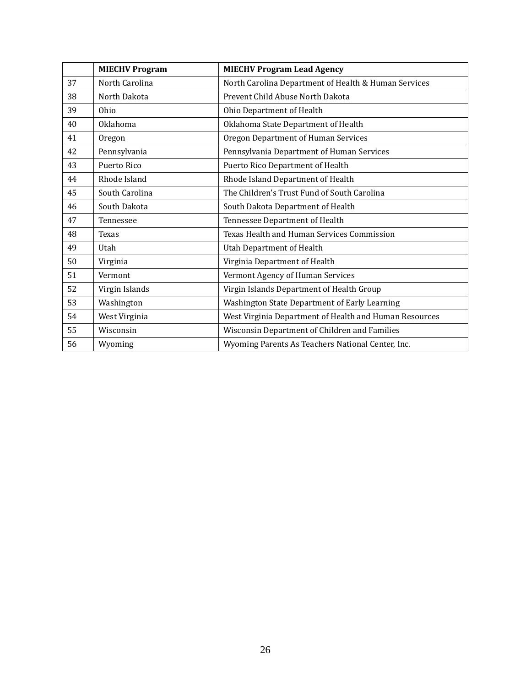|    | <b>MIECHV Program</b> | <b>MIECHV Program Lead Agency</b>                      |
|----|-----------------------|--------------------------------------------------------|
| 37 | North Carolina        | North Carolina Department of Health & Human Services   |
| 38 | North Dakota          | Prevent Child Abuse North Dakota                       |
| 39 | Ohio                  | Ohio Department of Health                              |
| 40 | Oklahoma              | Oklahoma State Department of Health                    |
| 41 | Oregon                | Oregon Department of Human Services                    |
| 42 | Pennsylvania          | Pennsylvania Department of Human Services              |
| 43 | Puerto Rico           | Puerto Rico Department of Health                       |
| 44 | Rhode Island          | Rhode Island Department of Health                      |
| 45 | South Carolina        | The Children's Trust Fund of South Carolina            |
| 46 | South Dakota          | South Dakota Department of Health                      |
| 47 | Tennessee             | Tennessee Department of Health                         |
| 48 | <b>Texas</b>          | Texas Health and Human Services Commission             |
| 49 | Utah                  | Utah Department of Health                              |
| 50 | Virginia              | Virginia Department of Health                          |
| 51 | Vermont               | Vermont Agency of Human Services                       |
| 52 | Virgin Islands        | Virgin Islands Department of Health Group              |
| 53 | Washington            | Washington State Department of Early Learning          |
| 54 | West Virginia         | West Virginia Department of Health and Human Resources |
| 55 | Wisconsin             | Wisconsin Department of Children and Families          |
| 56 | Wyoming               | Wyoming Parents As Teachers National Center, Inc.      |